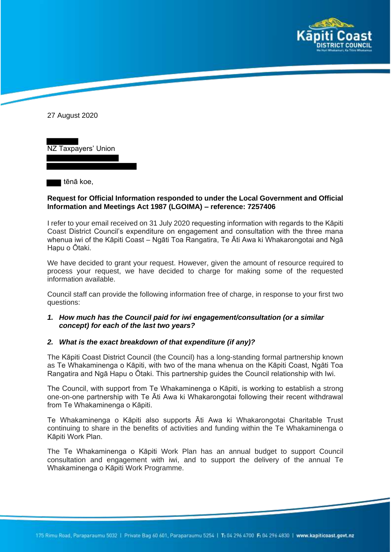

27 August 2020

NZ Taxpayers' Union

tēnā koe,

#### **Request for Official Information responded to under the Local Government and Official Information and Meetings Act 1987 (LGOIMA) – reference: 7257406**

I refer to your email received on 31 July 2020 requesting information with regards to the Kāpiti Coast District Council's expenditure on engagement and consultation with the three mana whenua iwi of the Kāpiti Coast – Ngāti Toa Rangatira, Te Āti Awa ki Whakarongotai and Ngā Hapu o Ōtaki.

We have decided to grant your request. However, given the amount of resource required to process your request, we have decided to charge for making some of the requested information available.

Council staff can provide the following information free of charge, in response to your first two questions:

# *1. How much has the Council paid for iwi engagement/consultation (or a similar concept) for each of the last two years?*

#### *2. What is the exact breakdown of that expenditure (if any)?*

The Kāpiti Coast District Council (the Council) has a long-standing formal partnership known as Te Whakaminenga o Kāpiti, with two of the mana whenua on the Kāpiti Coast, Ngāti Toa Rangatira and Ngā Hapu o Ōtaki. This partnership guides the Council relationship with Iwi.

The Council, with support from Te Whakaminenga o Kāpiti, is working to establish a strong one-on-one partnership with Te Āti Awa ki Whakarongotai following their recent withdrawal from Te Whakaminenga o Kāpiti.

Te Whakaminenga o Kāpiti also supports Āti Awa ki Whakarongotai Charitable Trust continuing to share in the benefits of activities and funding within the Te Whakaminenga o Kāpiti Work Plan.

The Te Whakaminenga o Kāpiti Work Plan has an annual budget to support Council consultation and engagement with iwi, and to support the delivery of the annual Te Whakaminenga o Kāpiti Work Programme.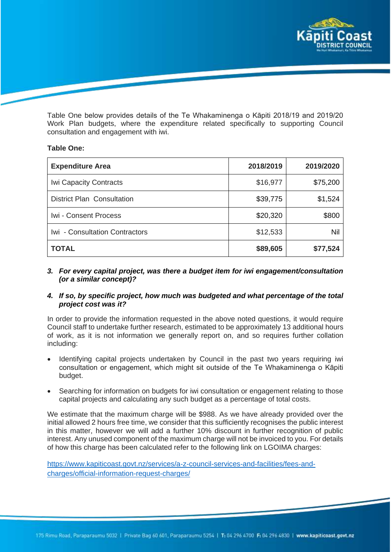

Table One below provides details of the Te Whakaminenga o Kāpiti 2018/19 and 2019/20 Work Plan budgets, where the expenditure related specifically to supporting Council consultation and engagement with iwi.

# **Table One:**

| <b>Expenditure Area</b>           | 2018/2019 | 2019/2020 |
|-----------------------------------|-----------|-----------|
| <b>Iwi Capacity Contracts</b>     | \$16,977  | \$75,200  |
| <b>District Plan Consultation</b> | \$39,775  | \$1,524   |
| Iwi - Consent Process             | \$20,320  | \$800     |
| Iwi - Consultation Contractors    | \$12,533  | Nil       |
| <b>TOTAL</b>                      | \$89,605  | \$77,524  |

# *3. For every capital project, was there a budget item for iwi engagement/consultation (or a similar concept)?*

# *4. If so, by specific project, how much was budgeted and what percentage of the total project cost was it?*

In order to provide the information requested in the above noted questions, it would require Council staff to undertake further research, estimated to be approximately 13 additional hours of work, as it is not information we generally report on, and so requires further collation including:

- Identifying capital projects undertaken by Council in the past two years requiring iwi consultation or engagement, which might sit outside of the Te Whakaminenga o Kāpiti budget.
- Searching for information on budgets for iwi consultation or engagement relating to those capital projects and calculating any such budget as a percentage of total costs.

We estimate that the maximum charge will be \$988. As we have already provided over the initial allowed 2 hours free time, we consider that this sufficiently recognises the public interest in this matter, however we will add a further 10% discount in further recognition of public interest. Any unused component of the maximum charge will not be invoiced to you. For details of how this charge has been calculated refer to the following link on LGOIMA charges:

https://www.kapiticoast.govt.nz/services/a-z-council-services-and-facilities/fees-andcharges/official-information-request-charges/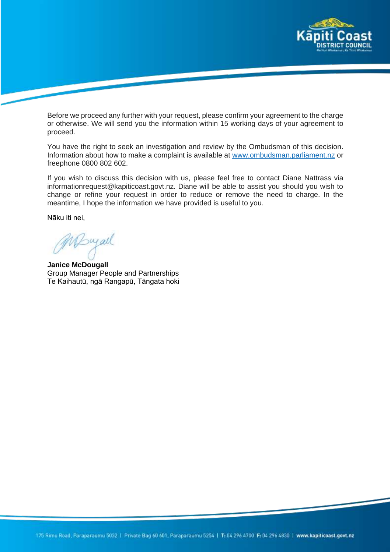

Before we proceed any further with your request, please confirm your agreement to the charge or otherwise. We will send you the information within 15 working days of your agreement to proceed.

You have the right to seek an investigation and review by the Ombudsman of this decision. Information about how to make a complaint is available at www.ombudsman.parliament.nz or freephone 0800 802 602.

If you wish to discuss this decision with us, please feel free to contact Diane Nattrass via informationrequest@kapiticoast.govt.nz. Diane will be able to assist you should you wish to change or refine your request in order to reduce or remove the need to charge. In the meantime, I hope the information we have provided is useful to you.

Nāku iti nei,

Mayall

**Janice McDougall** Group Manager People and Partnerships Te Kaihautū, ngā Rangapū, Tāngata hoki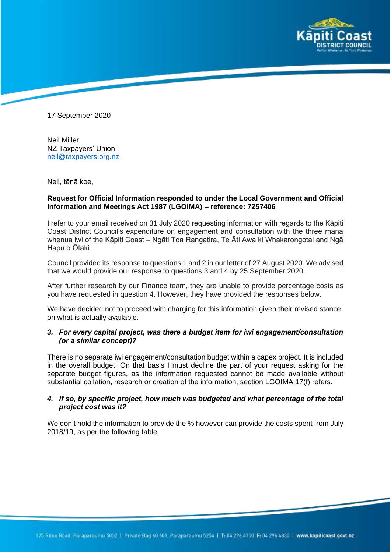

17 September 2020

Neil Miller NZ Taxpayers' Union neil@taxpayers.org.nz

Neil, tēnā koe,

#### **Request for Official Information responded to under the Local Government and Official Information and Meetings Act 1987 (LGOIMA) – reference: 7257406**

I refer to your email received on 31 July 2020 requesting information with regards to the Kāpiti Coast District Council's expenditure on engagement and consultation with the three mana whenua iwi of the Kāpiti Coast – Ngāti Toa Rangatira, Te Āti Awa ki Whakarongotai and Ngā Hapu o Ōtaki.

Council provided its response to questions 1 and 2 in our letter of 27 August 2020. We advised that we would provide our response to questions 3 and 4 by 25 September 2020.

After further research by our Finance team, they are unable to provide percentage costs as you have requested in question 4. However, they have provided the responses below.

We have decided not to proceed with charging for this information given their revised stance on what is actually available.

# *3. For every capital project, was there a budget item for iwi engagement/consultation (or a similar concept)?*

There is no separate iwi engagement/consultation budget within a capex project. It is included in the overall budget. On that basis I must decline the part of your request asking for the separate budget figures, as the information requested cannot be made available without substantial collation, research or creation of the information, section LGOIMA 17(f) refers.

# *4. If so, by specific project, how much was budgeted and what percentage of the total project cost was it?*

We don't hold the information to provide the % however can provide the costs spent from July 2018/19, as per the following table: